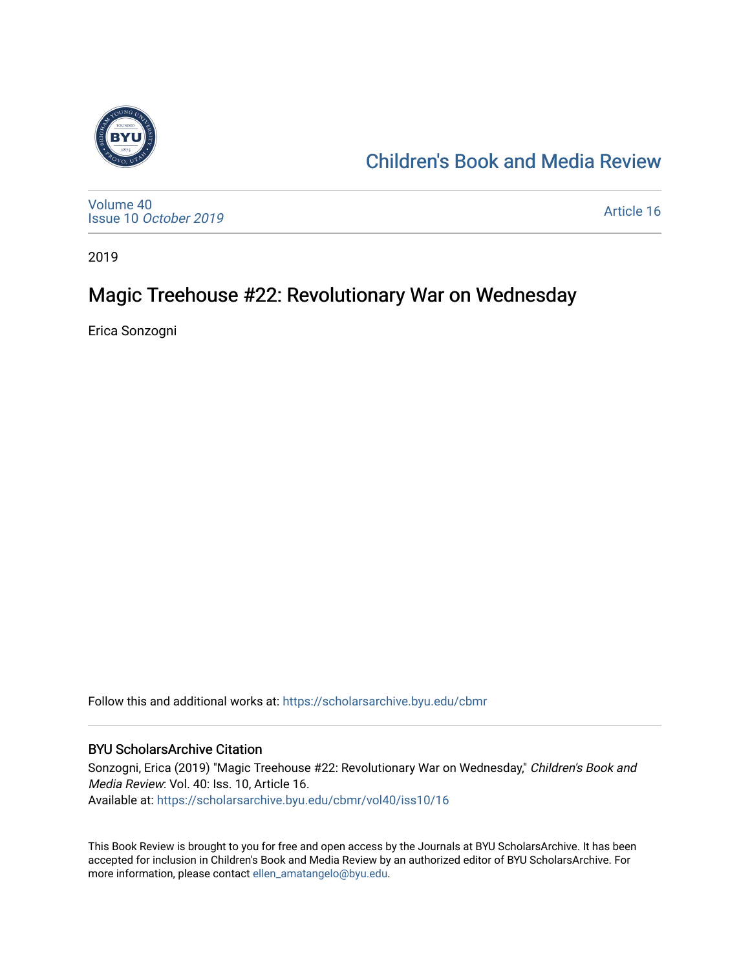

## [Children's Book and Media Review](https://scholarsarchive.byu.edu/cbmr)

[Volume 40](https://scholarsarchive.byu.edu/cbmr/vol40) Issue 10 [October 2019](https://scholarsarchive.byu.edu/cbmr/vol40/iss10)

[Article 16](https://scholarsarchive.byu.edu/cbmr/vol40/iss10/16) 

2019

## Magic Treehouse #22: Revolutionary War on Wednesday

Erica Sonzogni

Follow this and additional works at: [https://scholarsarchive.byu.edu/cbmr](https://scholarsarchive.byu.edu/cbmr?utm_source=scholarsarchive.byu.edu%2Fcbmr%2Fvol40%2Fiss10%2F16&utm_medium=PDF&utm_campaign=PDFCoverPages) 

#### BYU ScholarsArchive Citation

Sonzogni, Erica (2019) "Magic Treehouse #22: Revolutionary War on Wednesday," Children's Book and Media Review: Vol. 40: Iss. 10, Article 16. Available at: [https://scholarsarchive.byu.edu/cbmr/vol40/iss10/16](https://scholarsarchive.byu.edu/cbmr/vol40/iss10/16?utm_source=scholarsarchive.byu.edu%2Fcbmr%2Fvol40%2Fiss10%2F16&utm_medium=PDF&utm_campaign=PDFCoverPages) 

This Book Review is brought to you for free and open access by the Journals at BYU ScholarsArchive. It has been accepted for inclusion in Children's Book and Media Review by an authorized editor of BYU ScholarsArchive. For more information, please contact [ellen\\_amatangelo@byu.edu.](mailto:ellen_amatangelo@byu.edu)